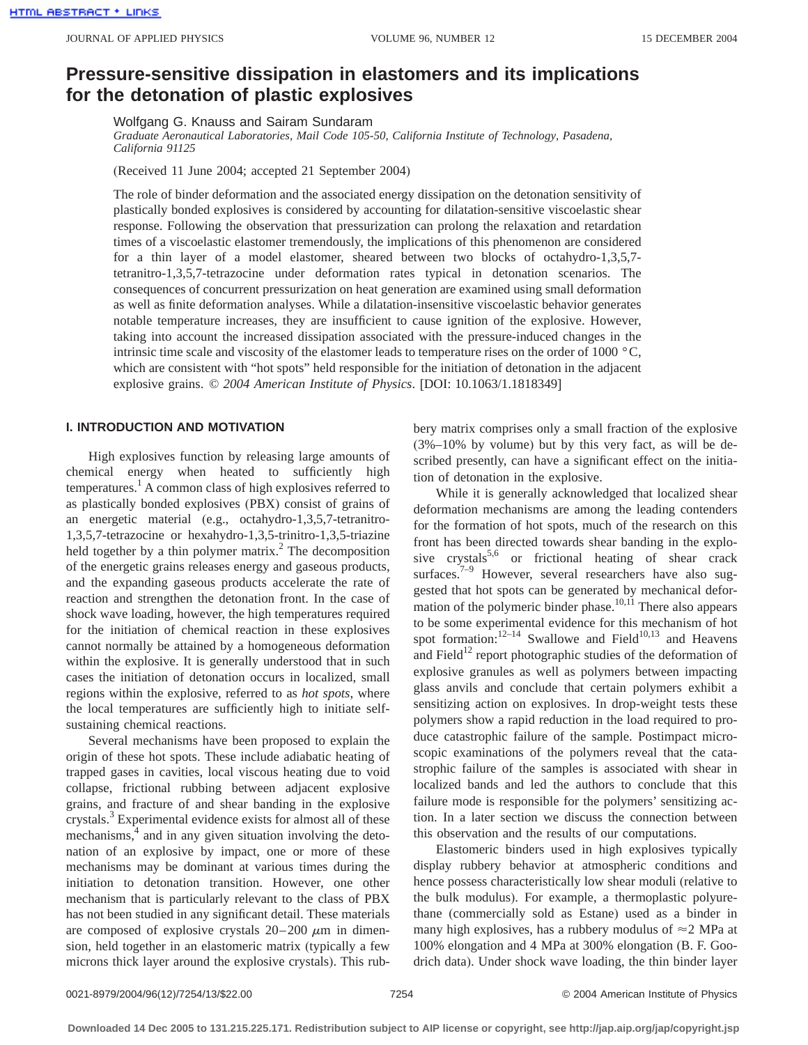# **Pressure-sensitive dissipation in elastomers and its implications for the detonation of plastic explosives**

Wolfgang G. Knauss and Sairam Sundaram

*Graduate Aeronautical Laboratories, Mail Code 105-50, California Institute of Technology, Pasadena, California 91125*

(Received 11 June 2004; accepted 21 September 2004)

The role of binder deformation and the associated energy dissipation on the detonation sensitivity of plastically bonded explosives is considered by accounting for dilatation-sensitive viscoelastic shear response. Following the observation that pressurization can prolong the relaxation and retardation times of a viscoelastic elastomer tremendously, the implications of this phenomenon are considered for a thin layer of a model elastomer, sheared between two blocks of octahydro-1,3,5,7 tetranitro-1,3,5,7-tetrazocine under deformation rates typical in detonation scenarios. The consequences of concurrent pressurization on heat generation are examined using small deformation as well as finite deformation analyses. While a dilatation-insensitive viscoelastic behavior generates notable temperature increases, they are insufficient to cause ignition of the explosive. However, taking into account the increased dissipation associated with the pressure-induced changes in the intrinsic time scale and viscosity of the elastomer leads to temperature rises on the order of  $1000 \degree C$ , which are consistent with "hot spots" held responsible for the initiation of detonation in the adjacent explosive grains. © *2004 American Institute of Physics*. [DOI: 10.1063/1.1818349]

## **I. INTRODUCTION AND MOTIVATION**

High explosives function by releasing large amounts of chemical energy when heated to sufficiently high temperatures.1 A common class of high explosives referred to as plastically bonded explosives (PBX) consist of grains of an energetic material (e.g., octahydro-1,3,5,7-tetranitro-1,3,5,7-tetrazocine or hexahydro-1,3,5-trinitro-1,3,5-triazine held together by a thin polymer matrix.<sup>2</sup> The decomposition of the energetic grains releases energy and gaseous products, and the expanding gaseous products accelerate the rate of reaction and strengthen the detonation front. In the case of shock wave loading, however, the high temperatures required for the initiation of chemical reaction in these explosives cannot normally be attained by a homogeneous deformation within the explosive. It is generally understood that in such cases the initiation of detonation occurs in localized, small regions within the explosive, referred to as *hot spots*, where the local temperatures are sufficiently high to initiate selfsustaining chemical reactions.

Several mechanisms have been proposed to explain the origin of these hot spots. These include adiabatic heating of trapped gases in cavities, local viscous heating due to void collapse, frictional rubbing between adjacent explosive grains, and fracture of and shear banding in the explosive crystals.3 Experimental evidence exists for almost all of these mechanisms,<sup>4</sup> and in any given situation involving the detonation of an explosive by impact, one or more of these mechanisms may be dominant at various times during the initiation to detonation transition. However, one other mechanism that is particularly relevant to the class of PBX has not been studied in any significant detail. These materials are composed of explosive crystals  $20-200 \mu m$  in dimension, held together in an elastomeric matrix (typically a few microns thick layer around the explosive crystals). This rubbery matrix comprises only a small fraction of the explosive (3%–10% by volume) but by this very fact, as will be described presently, can have a significant effect on the initiation of detonation in the explosive.

While it is generally acknowledged that localized shear deformation mechanisms are among the leading contenders for the formation of hot spots, much of the research on this front has been directed towards shear banding in the explosive crystals<sup>5,6</sup> or frictional heating of shear crack surfaces.<sup>7–9</sup> However, several researchers have also suggested that hot spots can be generated by mechanical deformation of the polymeric binder phase.<sup>10,11</sup> There also appears to be some experimental evidence for this mechanism of hot spot formation: $12-14$  Swallowe and Field $10,13$  and Heavens and Field $^{12}$  report photographic studies of the deformation of explosive granules as well as polymers between impacting glass anvils and conclude that certain polymers exhibit a sensitizing action on explosives. In drop-weight tests these polymers show a rapid reduction in the load required to produce catastrophic failure of the sample. Postimpact microscopic examinations of the polymers reveal that the catastrophic failure of the samples is associated with shear in localized bands and led the authors to conclude that this failure mode is responsible for the polymers' sensitizing action. In a later section we discuss the connection between this observation and the results of our computations.

Elastomeric binders used in high explosives typically display rubbery behavior at atmospheric conditions and hence possess characteristically low shear moduli (relative to the bulk modulus). For example, a thermoplastic polyurethane (commercially sold as Estane) used as a binder in many high explosives, has a rubbery modulus of  $\approx$  2 MPa at 100% elongation and 4 MPa at 300% elongation (B. F. Goodrich data). Under shock wave loading, the thin binder layer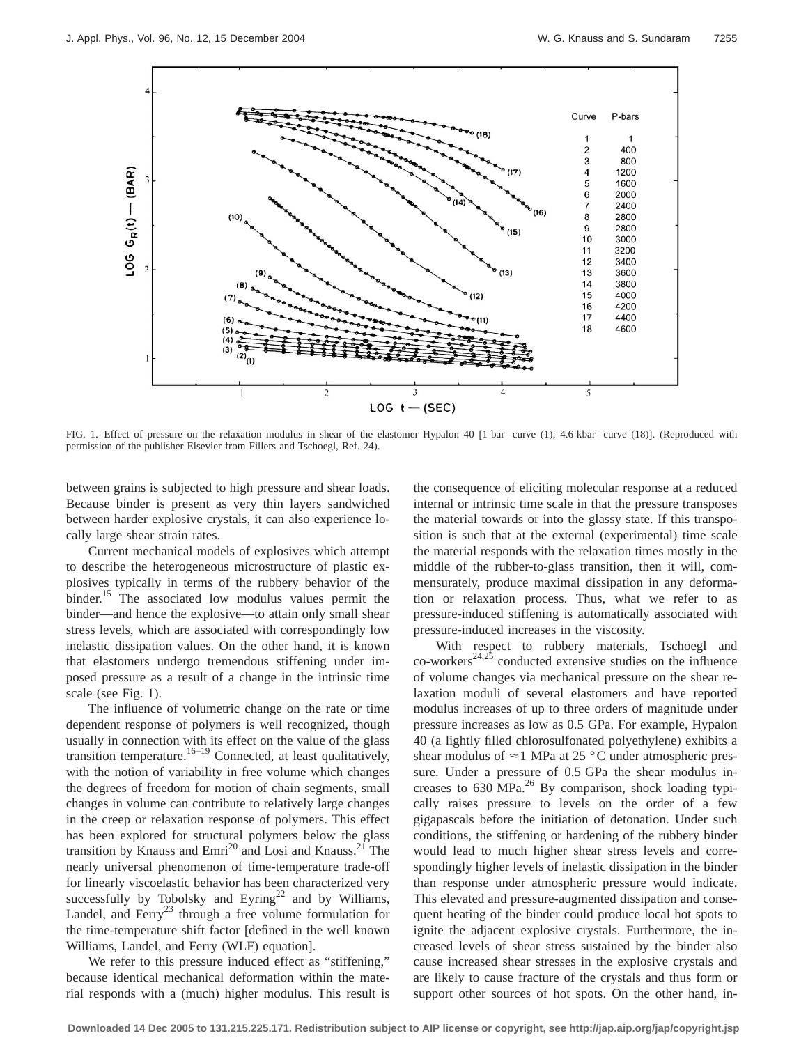

FIG. 1. Effect of pressure on the relaxation modulus in shear of the elastomer Hypalon 40 [1 bar=curve (1); 4.6 kbar=curve (18)]. (Reproduced with permission of the publisher Elsevier from Fillers and Tschoegl, Ref. 24).

between grains is subjected to high pressure and shear loads. Because binder is present as very thin layers sandwiched between harder explosive crystals, it can also experience locally large shear strain rates.

Current mechanical models of explosives which attempt to describe the heterogeneous microstructure of plastic explosives typically in terms of the rubbery behavior of the binder.<sup>15</sup> The associated low modulus values permit the binder—and hence the explosive—to attain only small shear stress levels, which are associated with correspondingly low inelastic dissipation values. On the other hand, it is known that elastomers undergo tremendous stiffening under imposed pressure as a result of a change in the intrinsic time scale (see Fig. 1).

The influence of volumetric change on the rate or time dependent response of polymers is well recognized, though usually in connection with its effect on the value of the glass transition temperature.<sup>16–19</sup> Connected, at least qualitatively, with the notion of variability in free volume which changes the degrees of freedom for motion of chain segments, small changes in volume can contribute to relatively large changes in the creep or relaxation response of polymers. This effect has been explored for structural polymers below the glass transition by Knauss and  $Emri<sup>20</sup>$  and Losi and Knauss.<sup>21</sup> The nearly universal phenomenon of time-temperature trade-off for linearly viscoelastic behavior has been characterized very successfully by Tobolsky and Eyring<sup>22</sup> and by Williams, Landel, and Ferry<sup>23</sup> through a free volume formulation for the time-temperature shift factor [defined in the well known Williams, Landel, and Ferry (WLF) equation].

We refer to this pressure induced effect as "stiffening," because identical mechanical deformation within the material responds with a (much) higher modulus. This result is the consequence of eliciting molecular response at a reduced internal or intrinsic time scale in that the pressure transposes the material towards or into the glassy state. If this transposition is such that at the external (experimental) time scale the material responds with the relaxation times mostly in the middle of the rubber-to-glass transition, then it will, commensurately, produce maximal dissipation in any deformation or relaxation process. Thus, what we refer to as pressure-induced stiffening is automatically associated with pressure-induced increases in the viscosity.

With respect to rubbery materials, Tschoegl and co-workers<sup>24,25</sup> conducted extensive studies on the influence of volume changes via mechanical pressure on the shear relaxation moduli of several elastomers and have reported modulus increases of up to three orders of magnitude under pressure increases as low as 0.5 GPa. For example, Hypalon 40 (a lightly filled chlorosulfonated polyethylene) exhibits a shear modulus of  $\approx$  1 MPa at 25 °C under atmospheric pressure. Under a pressure of 0.5 GPa the shear modulus increases to 630 MPa.26 By comparison, shock loading typically raises pressure to levels on the order of a few gigapascals before the initiation of detonation. Under such conditions, the stiffening or hardening of the rubbery binder would lead to much higher shear stress levels and correspondingly higher levels of inelastic dissipation in the binder than response under atmospheric pressure would indicate. This elevated and pressure-augmented dissipation and consequent heating of the binder could produce local hot spots to ignite the adjacent explosive crystals. Furthermore, the increased levels of shear stress sustained by the binder also cause increased shear stresses in the explosive crystals and are likely to cause fracture of the crystals and thus form or support other sources of hot spots. On the other hand, in-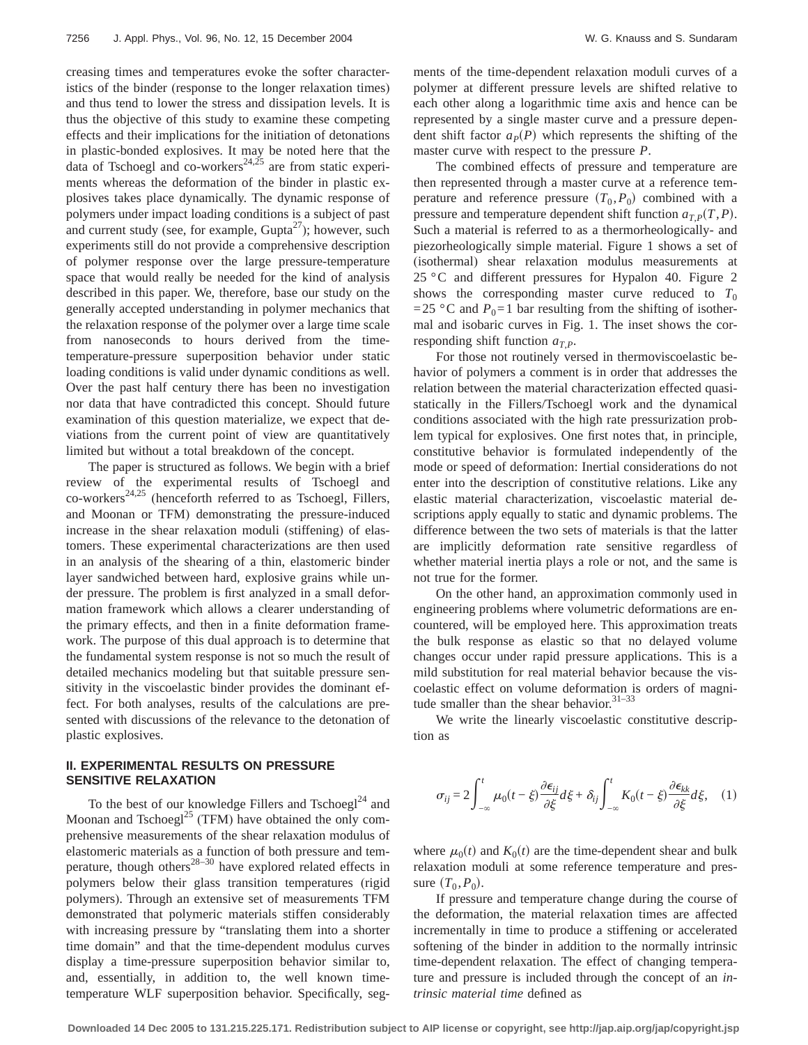creasing times and temperatures evoke the softer characteristics of the binder (response to the longer relaxation times) and thus tend to lower the stress and dissipation levels. It is thus the objective of this study to examine these competing effects and their implications for the initiation of detonations in plastic-bonded explosives. It may be noted here that the data of Tschoegl and co-workers<sup>24,25</sup> are from static experiments whereas the deformation of the binder in plastic explosives takes place dynamically. The dynamic response of polymers under impact loading conditions is a subject of past and current study (see, for example,  $Gupta^{27}$ ); however, such experiments still do not provide a comprehensive description of polymer response over the large pressure-temperature space that would really be needed for the kind of analysis described in this paper. We, therefore, base our study on the generally accepted understanding in polymer mechanics that the relaxation response of the polymer over a large time scale from nanoseconds to hours derived from the timetemperature-pressure superposition behavior under static loading conditions is valid under dynamic conditions as well. Over the past half century there has been no investigation nor data that have contradicted this concept. Should future examination of this question materialize, we expect that deviations from the current point of view are quantitatively limited but without a total breakdown of the concept.

The paper is structured as follows. We begin with a brief review of the experimental results of Tschoegl and co-workers<sup>24,25</sup> (henceforth referred to as Tschoegl, Fillers, and Moonan or TFM) demonstrating the pressure-induced increase in the shear relaxation moduli (stiffening) of elastomers. These experimental characterizations are then used in an analysis of the shearing of a thin, elastomeric binder layer sandwiched between hard, explosive grains while under pressure. The problem is first analyzed in a small deformation framework which allows a clearer understanding of the primary effects, and then in a finite deformation framework. The purpose of this dual approach is to determine that the fundamental system response is not so much the result of detailed mechanics modeling but that suitable pressure sensitivity in the viscoelastic binder provides the dominant effect. For both analyses, results of the calculations are presented with discussions of the relevance to the detonation of plastic explosives.

## **II. EXPERIMENTAL RESULTS ON PRESSURE SENSITIVE RELAXATION**

To the best of our knowledge Fillers and Tschoegl<sup>24</sup> and Moonan and Tschoegl<sup>25</sup> (TFM) have obtained the only comprehensive measurements of the shear relaxation modulus of elastomeric materials as a function of both pressure and temperature, though others<sup>28–30</sup> have explored related effects in polymers below their glass transition temperatures (rigid polymers). Through an extensive set of measurements TFM demonstrated that polymeric materials stiffen considerably with increasing pressure by "translating them into a shorter time domain" and that the time-dependent modulus curves display a time-pressure superposition behavior similar to, and, essentially, in addition to, the well known timetemperature WLF superposition behavior. Specifically, segments of the time-dependent relaxation moduli curves of a polymer at different pressure levels are shifted relative to each other along a logarithmic time axis and hence can be represented by a single master curve and a pressure dependent shift factor  $a_P(P)$  which represents the shifting of the master curve with respect to the pressure *P*.

The combined effects of pressure and temperature are then represented through a master curve at a reference temperature and reference pressure  $(T_0, P_0)$  combined with a pressure and temperature dependent shift function  $a_{TP}(T, P)$ . Such a material is referred to as a thermorheologically- and piezorheologically simple material. Figure 1 shows a set of (isothermal) shear relaxation modulus measurements at 25 °C and different pressures for Hypalon 40. Figure 2 shows the corresponding master curve reduced to  $T_0$ =25 °C and  $P_0$ =1 bar resulting from the shifting of isothermal and isobaric curves in Fig. 1. The inset shows the corresponding shift function  $a_{TP}$ .

For those not routinely versed in thermoviscoelastic behavior of polymers a comment is in order that addresses the relation between the material characterization effected quasistatically in the Fillers/Tschoegl work and the dynamical conditions associated with the high rate pressurization problem typical for explosives. One first notes that, in principle, constitutive behavior is formulated independently of the mode or speed of deformation: Inertial considerations do not enter into the description of constitutive relations. Like any elastic material characterization, viscoelastic material descriptions apply equally to static and dynamic problems. The difference between the two sets of materials is that the latter are implicitly deformation rate sensitive regardless of whether material inertia plays a role or not, and the same is not true for the former.

On the other hand, an approximation commonly used in engineering problems where volumetric deformations are encountered, will be employed here. This approximation treats the bulk response as elastic so that no delayed volume changes occur under rapid pressure applications. This is a mild substitution for real material behavior because the viscoelastic effect on volume deformation is orders of magnitude smaller than the shear behavior. $31-33$ 

We write the linearly viscoelastic constitutive description as

$$
\sigma_{ij} = 2 \int_{-\infty}^{t} \mu_0(t - \xi) \frac{\partial \epsilon_{ij}}{\partial \xi} d\xi + \delta_{ij} \int_{-\infty}^{t} K_0(t - \xi) \frac{\partial \epsilon_{kk}}{\partial \xi} d\xi, \quad (1)
$$

where  $\mu_0(t)$  and  $K_0(t)$  are the time-dependent shear and bulk relaxation moduli at some reference temperature and pressure  $(T_0, P_0)$ .

If pressure and temperature change during the course of the deformation, the material relaxation times are affected incrementally in time to produce a stiffening or accelerated softening of the binder in addition to the normally intrinsic time-dependent relaxation. The effect of changing temperature and pressure is included through the concept of an *intrinsic material time* defined as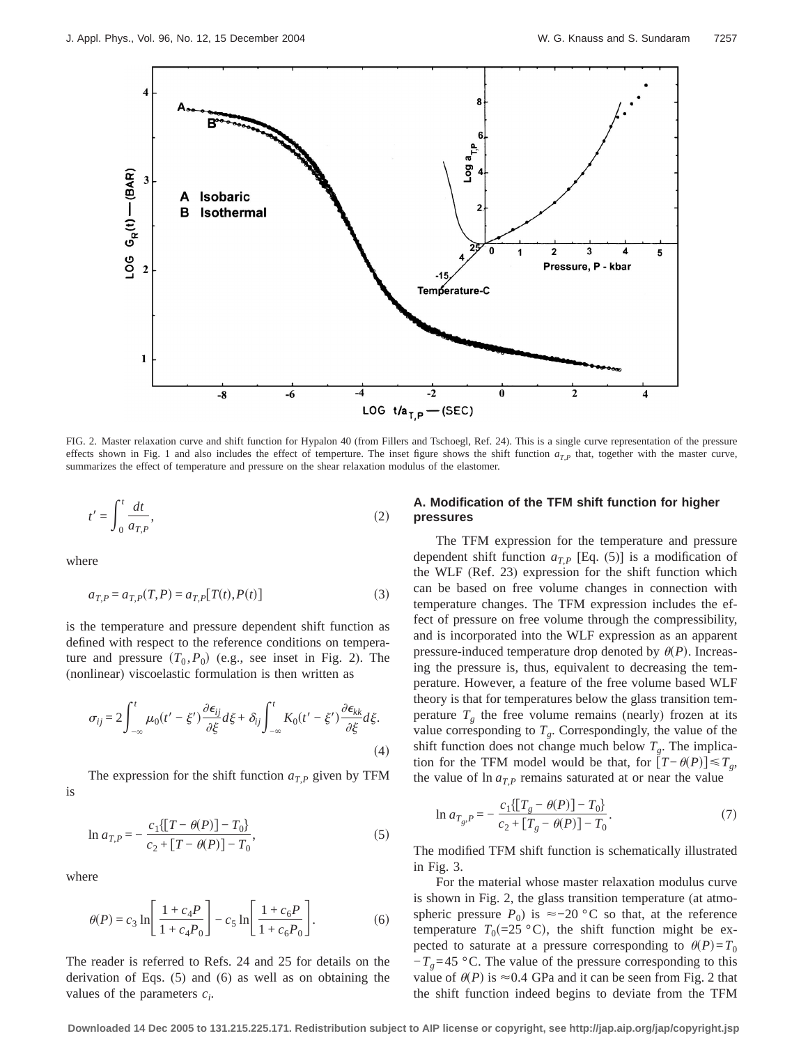

FIG. 2. Master relaxation curve and shift function for Hypalon 40 (from Fillers and Tschoegl, Ref. 24). This is a single curve representation of the pressure effects shown in Fig. 1 and also includes the effect of temperture. The inset figure shows the shift function  $a_{T,P}$  that, together with the master curve, summarizes the effect of temperature and pressure on the shear relaxation modulus of the elastomer.

$$
t' = \int_0^t \frac{dt}{a_{T,P}},\tag{2}
$$

where

$$
a_{T,P} = a_{T,P}(T,P) = a_{T,P}[T(t),P(t)]
$$
\n(3)

is the temperature and pressure dependent shift function as defined with respect to the reference conditions on temperature and pressure  $(T_0, P_0)$  (e.g., see inset in Fig. 2). The (nonlinear) viscoelastic formulation is then written as

$$
\sigma_{ij} = 2 \int_{-\infty}^{t} \mu_0(t' - \xi') \frac{\partial \epsilon_{ij}}{\partial \xi} d\xi + \delta_{ij} \int_{-\infty}^{t} K_0(t' - \xi') \frac{\partial \epsilon_{kk}}{\partial \xi} d\xi.
$$
\n(4)

The expression for the shift function  $a_{T,P}$  given by TFM is

$$
\ln a_{T,P} = -\frac{c_1 \{ [T - \theta(P)] - T_0 \}}{c_2 + [T - \theta(P)] - T_0},\tag{5}
$$

where

$$
\theta(P) = c_3 \ln \left[ \frac{1 + c_4 P}{1 + c_4 P_0} \right] - c_5 \ln \left[ \frac{1 + c_6 P}{1 + c_6 P_0} \right].
$$
 (6)

The reader is referred to Refs. 24 and 25 for details on the derivation of Eqs. (5) and (6) as well as on obtaining the values of the parameters  $c_i$ .

# **A. Modification of the TFM shift function for higher pressures**

The TFM expression for the temperature and pressure dependent shift function  $a_{T,P}$  [Eq. (5)] is a modification of the WLF (Ref. 23) expression for the shift function which can be based on free volume changes in connection with temperature changes. The TFM expression includes the effect of pressure on free volume through the compressibility, and is incorporated into the WLF expression as an apparent pressure-induced temperature drop denoted by  $\theta(P)$ . Increasing the pressure is, thus, equivalent to decreasing the temperature. However, a feature of the free volume based WLF theory is that for temperatures below the glass transition temperature  $T_g$  the free volume remains (nearly) frozen at its value corresponding to  $T_g$ . Correspondingly, the value of the shift function does not change much below  $T_g$ . The implication for the TFM model would be that, for  $[T - \theta(P)] \le T_g$ , the value of  $\ln a_{T,P}$  remains saturated at or near the value

$$
\ln a_{T_g, P} = -\frac{c_1 \{ [T_g - \theta(P)] - T_0 \}}{c_2 + [T_g - \theta(P)] - T_0}.
$$
\n(7)

The modified TFM shift function is schematically illustrated in Fig. 3.

For the material whose master relaxation modulus curve is shown in Fig. 2, the glass transition temperature (at atmospheric pressure  $P_0$ ) is  $\approx$ −20 °C so that, at the reference temperature  $T_0$ (=25 °C), the shift function might be expected to saturate at a pressure corresponding to  $\theta(P)=T_0$  $-T<sub>g</sub>=45$  °C. The value of the pressure corresponding to this value of  $\theta(P)$  is  $\approx 0.4$  GPa and it can be seen from Fig. 2 that the shift function indeed begins to deviate from the TFM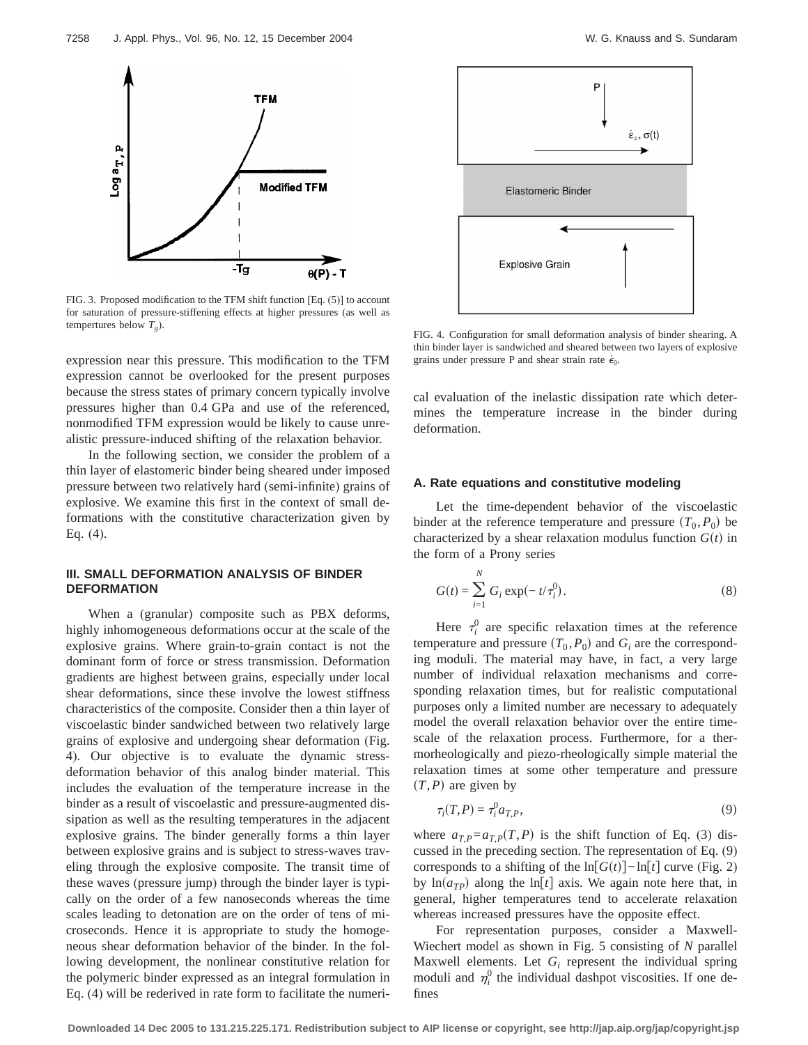

FIG. 3. Proposed modification to the TFM shift function [Eq. (5)] to account for saturation of pressure-stiffening effects at higher pressures (as well as tempertures below  $T_g$ ).<br>FIG. 4. Configuration for small deformation analysis of binder shearing. A

expression near this pressure. This modification to the TFM expression cannot be overlooked for the present purposes because the stress states of primary concern typically involve pressures higher than 0.4 GPa and use of the referenced, nonmodified TFM expression would be likely to cause unrealistic pressure-induced shifting of the relaxation behavior.

In the following section, we consider the problem of a thin layer of elastomeric binder being sheared under imposed pressure between two relatively hard (semi-infinite) grains of explosive. We examine this first in the context of small deformations with the constitutive characterization given by Eq. (4).

# **III. SMALL DEFORMATION ANALYSIS OF BINDER DEFORMATION**

When a (granular) composite such as PBX deforms, highly inhomogeneous deformations occur at the scale of the explosive grains. Where grain-to-grain contact is not the dominant form of force or stress transmission. Deformation gradients are highest between grains, especially under local shear deformations, since these involve the lowest stiffness characteristics of the composite. Consider then a thin layer of viscoelastic binder sandwiched between two relatively large grains of explosive and undergoing shear deformation (Fig. 4). Our objective is to evaluate the dynamic stressdeformation behavior of this analog binder material. This includes the evaluation of the temperature increase in the binder as a result of viscoelastic and pressure-augmented dissipation as well as the resulting temperatures in the adjacent explosive grains. The binder generally forms a thin layer between explosive grains and is subject to stress-waves traveling through the explosive composite. The transit time of these waves (pressure jump) through the binder layer is typically on the order of a few nanoseconds whereas the time scales leading to detonation are on the order of tens of microseconds. Hence it is appropriate to study the homogeneous shear deformation behavior of the binder. In the following development, the nonlinear constitutive relation for the polymeric binder expressed as an integral formulation in Eq. (4) will be rederived in rate form to facilitate the numeri-



thin binder layer is sandwiched and sheared between two layers of explosive grains under pressure P and shear strain rate  $\dot{\epsilon}_0$ .

cal evaluation of the inelastic dissipation rate which determines the temperature increase in the binder during deformation.

#### **A. Rate equations and constitutive modeling**

Let the time-dependent behavior of the viscoelastic binder at the reference temperature and pressure  $(T_0, P_0)$  be characterized by a shear relaxation modulus function  $G(t)$  in the form of a Prony series

$$
G(t) = \sum_{i=1}^{N} G_i \exp(-t/\tau_i^0).
$$
 (8)

Here  $\tau_i^0$  are specific relaxation times at the reference temperature and pressure  $(T_0, P_0)$  and  $G_i$  are the corresponding moduli. The material may have, in fact, a very large number of individual relaxation mechanisms and corresponding relaxation times, but for realistic computational purposes only a limited number are necessary to adequately model the overall relaxation behavior over the entire timescale of the relaxation process. Furthermore, for a thermorheologically and piezo-rheologically simple material the relaxation times at some other temperature and pressure  $(T, P)$  are given by

$$
\tau_i(T, P) = \tau_i^0 a_{T, P},\tag{9}
$$

where  $a_T$ <sub>*P*</sub>= $a_T$ <sub>*P*</sub> $(T, P)$  is the shift function of Eq. (3) discussed in the preceding section. The representation of Eq. (9) corresponds to a shifting of the ln $[G(t)]$ −ln $[t]$  curve (Fig. 2) by  $ln(a_{TP})$  along the ln[t] axis. We again note here that, in general, higher temperatures tend to accelerate relaxation whereas increased pressures have the opposite effect.

For representation purposes, consider a Maxwell-Wiechert model as shown in Fig. 5 consisting of *N* parallel Maxwell elements. Let *Gi* represent the individual spring moduli and  $\eta_i^0$  the individual dashpot viscosities. If one defines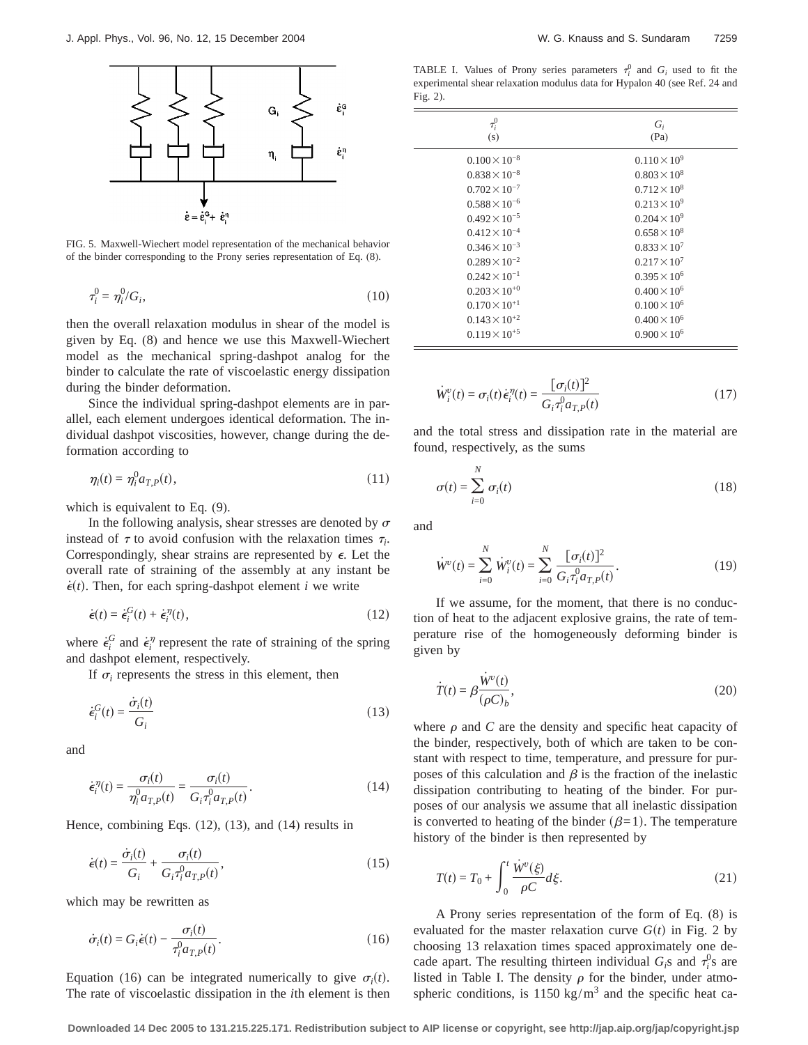

FIG. 5. Maxwell-Wiechert model representation of the mechanical behavior of the binder corresponding to the Prony series representation of Eq. (8).

$$
\tau_i^0 = \eta_i^0 / G_i,\tag{10}
$$

then the overall relaxation modulus in shear of the model is given by Eq. (8) and hence we use this Maxwell-Wiechert model as the mechanical spring-dashpot analog for the binder to calculate the rate of viscoelastic energy dissipation during the binder deformation.

Since the individual spring-dashpot elements are in parallel, each element undergoes identical deformation. The individual dashpot viscosities, however, change during the deformation according to

$$
\eta_i(t) = \eta_i^0 a_{T,P}(t),\tag{11}
$$

which is equivalent to Eq. (9).

In the following analysis, shear stresses are denoted by  $\sigma$ instead of  $\tau$  to avoid confusion with the relaxation times  $\tau_i$ . Correspondingly, shear strains are represented by  $\epsilon$ . Let the overall rate of straining of the assembly at any instant be  $\dot{\epsilon}(t)$ . Then, for each spring-dashpot element *i* we write

$$
\dot{\epsilon}(t) = \dot{\epsilon}_i^G(t) + \dot{\epsilon}_i^{\eta}(t), \qquad (12)
$$

where  $\dot{\epsilon}_i^G$  and  $\dot{\epsilon}_i^{\eta}$  represent the rate of straining of the spring and dashpot element, respectively.

If  $\sigma_i$  represents the stress in this element, then

$$
\dot{\epsilon}_i^G(t) = \frac{\dot{\sigma}_i(t)}{G_i} \tag{13}
$$

and

$$
\dot{\epsilon}_i^{\eta}(t) = \frac{\sigma_i(t)}{\eta_i^0 a_{T,P}(t)} = \frac{\sigma_i(t)}{G_i \tau_i^0 a_{T,P}(t)}.
$$
\n(14)

Hence, combining Eqs. (12), (13), and (14) results in

$$
\dot{\epsilon}(t) = \frac{\dot{\sigma}_i(t)}{G_i} + \frac{\sigma_i(t)}{G_i \tau_i^0 a_{T,P}(t)},
$$
\n(15)

which may be rewritten as

$$
\dot{\sigma}_i(t) = G_i \dot{\epsilon}(t) - \frac{\sigma_i(t)}{\tau_i^0 a_{T,P}(t)}.
$$
\n(16)

Equation (16) can be integrated numerically to give  $\sigma_i(t)$ . The rate of viscoelastic dissipation in the *i*th element is then

TABLE I. Values of Prony series parameters  $\tau_i^0$  and  $G_i$  used to fit the experimental shear relaxation modulus data for Hypalon 40 (see Ref. 24 and Fig. 2).

| $\tau_i^0$<br>(s)      | $G_i$<br>(Pa)         |
|------------------------|-----------------------|
| $0.100 \times 10^{-8}$ | $0.110 \times 10^{9}$ |
| $0.838 \times 10^{-8}$ | $0.803 \times 10^{8}$ |
| $0.702 \times 10^{-7}$ | $0.712 \times 10^{8}$ |
| $0.588 \times 10^{-6}$ | $0.213 \times 10^{9}$ |
| $0.492 \times 10^{-5}$ | $0.204 \times 10^{9}$ |
| $0.412 \times 10^{-4}$ | $0.658 \times 10^{8}$ |
| $0.346 \times 10^{-3}$ | $0.833 \times 10^{7}$ |
| $0.289 \times 10^{-2}$ | $0.217 \times 10^{7}$ |
| $0.242 \times 10^{-1}$ | $0.395 \times 10^{6}$ |
| $0.203 \times 10^{+0}$ | $0.400 \times 10^{6}$ |
| $0.170 \times 10^{+1}$ | $0.100\times10^6$     |
| $0.143 \times 10^{+2}$ | $0.400\times10^6$     |
| $0.119 \times 10^{+5}$ | $0.900 \times 10^6$   |

$$
\dot{W}_i^v(t) = \sigma_i(t) \dot{\epsilon}_i^{\eta}(t) = \frac{[\sigma_i(t)]^2}{G_i \tau_i^0 a_{T,P}(t)}
$$
(17)

and the total stress and dissipation rate in the material are found, respectively, as the sums

$$
\sigma(t) = \sum_{i=0}^{N} \sigma_i(t) \tag{18}
$$

and

$$
\dot{W}^v(t) = \sum_{i=0}^N \dot{W}_i^v(t) = \sum_{i=0}^N \frac{[\sigma_i(t)]^2}{G_i \tau_i^0 a_{T,P}(t)}.
$$
\n(19)

If we assume, for the moment, that there is no conduction of heat to the adjacent explosive grains, the rate of temperature rise of the homogeneously deforming binder is given by

$$
\dot{T}(t) = \beta \frac{\dot{W}^v(t)}{(\rho C)_b},\tag{20}
$$

where  $\rho$  and *C* are the density and specific heat capacity of the binder, respectively, both of which are taken to be constant with respect to time, temperature, and pressure for purposes of this calculation and  $\beta$  is the fraction of the inelastic dissipation contributing to heating of the binder. For purposes of our analysis we assume that all inelastic dissipation is converted to heating of the binder  $(\beta=1)$ . The temperature history of the binder is then represented by

$$
T(t) = T_0 + \int_0^t \frac{\dot{W}^v(\xi)}{\rho C} d\xi.
$$
 (21)

A Prony series representation of the form of Eq. (8) is evaluated for the master relaxation curve  $G(t)$  in Fig. 2 by choosing 13 relaxation times spaced approximately one decade apart. The resulting thirteen individual  $G_i$ s and  $\tau_i^0$ s are listed in Table I. The density  $\rho$  for the binder, under atmospheric conditions, is  $1150 \text{ kg/m}^3$  and the specific heat ca-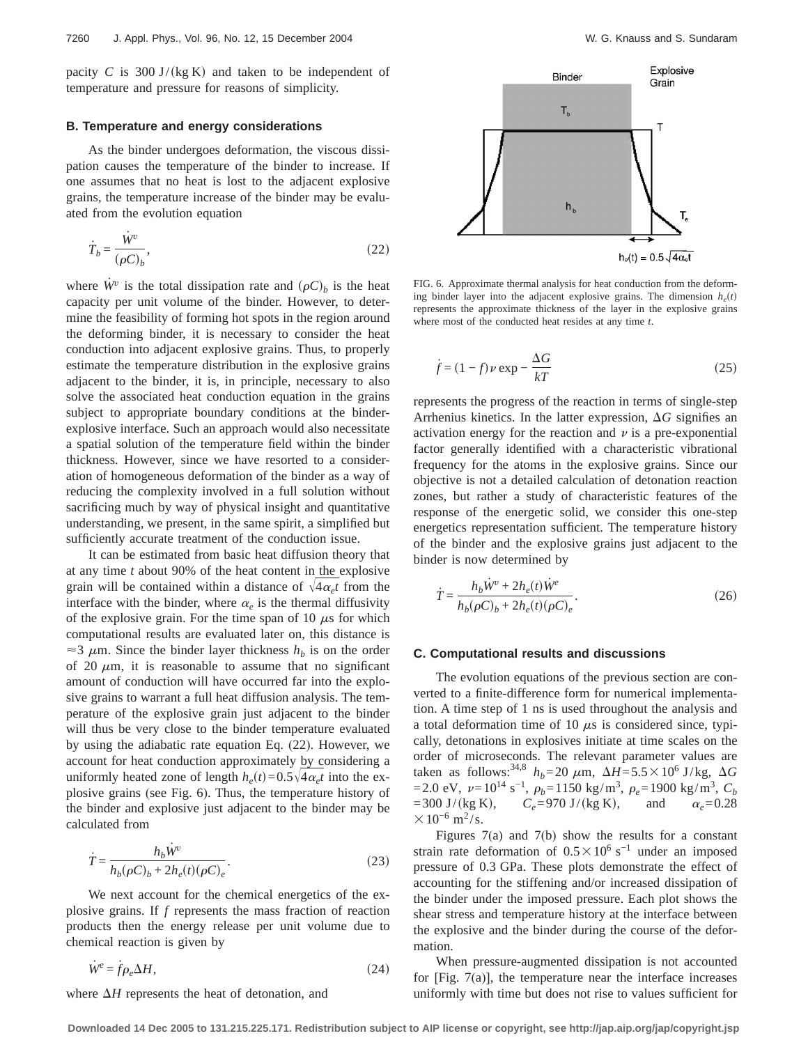pacity *C* is 300 J/(kg K) and taken to be independent of temperature and pressure for reasons of simplicity.

#### **B. Temperature and energy considerations**

As the binder undergoes deformation, the viscous dissipation causes the temperature of the binder to increase. If one assumes that no heat is lost to the adjacent explosive grains, the temperature increase of the binder may be evaluated from the evolution equation

$$
\dot{T}_b = \frac{\dot{W}^v}{(\rho C)_b},\tag{22}
$$

where  $\dot{W}$  is the total dissipation rate and  $(\rho C)_b$  is the heat capacity per unit volume of the binder. However, to determine the feasibility of forming hot spots in the region around the deforming binder, it is necessary to consider the heat conduction into adjacent explosive grains. Thus, to properly estimate the temperature distribution in the explosive grains adjacent to the binder, it is, in principle, necessary to also solve the associated heat conduction equation in the grains subject to appropriate boundary conditions at the binderexplosive interface. Such an approach would also necessitate a spatial solution of the temperature field within the binder thickness. However, since we have resorted to a consideration of homogeneous deformation of the binder as a way of reducing the complexity involved in a full solution without sacrificing much by way of physical insight and quantitative understanding, we present, in the same spirit, a simplified but sufficiently accurate treatment of the conduction issue.

It can be estimated from basic heat diffusion theory that at any time *t* about 90% of the heat content in the explosive grain will be contained within a distance of  $\sqrt{4\alpha_e t}$  from the interface with the binder, where  $\alpha_e$  is the thermal diffusivity of the explosive grain. For the time span of 10  $\mu$ s for which computational results are evaluated later on, this distance is  $\approx$ 3  $\mu$ m. Since the binder layer thickness  $h_b$  is on the order of 20  $\mu$ m, it is reasonable to assume that no significant amount of conduction will have occurred far into the explosive grains to warrant a full heat diffusion analysis. The temperature of the explosive grain just adjacent to the binder will thus be very close to the binder temperature evaluated by using the adiabatic rate equation Eq. (22). However, we account for heat conduction approximately by considering a uniformly heated zone of length  $h_e(t) = 0.5\sqrt{4\alpha_e t}$  into the explosive grains (see Fig. 6). Thus, the temperature history of the binder and explosive just adjacent to the binder may be calculated from

$$
\dot{T} = \frac{h_b \dot{W}^v}{h_b (\rho C)_b + 2h_e(t)(\rho C)_e}.
$$
\n(23)

We next account for the chemical energetics of the explosive grains. If *f* represents the mass fraction of reaction products then the energy release per unit volume due to chemical reaction is given by

$$
\dot{W}^e = \dot{f}\rho_e \Delta H,\tag{24}
$$

where  $\Delta H$  represents the heat of detonation, and



 $h_e(t) = 0.5\sqrt{4\alpha_e t}$ 

FIG. 6. Approximate thermal analysis for heat conduction from the deforming binder layer into the adjacent explosive grains. The dimension  $h_e(t)$ represents the approximate thickness of the layer in the explosive grains where most of the conducted heat resides at any time *t*.

$$
\dot{f} = (1 - f)\nu \exp{-\frac{\Delta G}{kT}}
$$
\n(25)

represents the progress of the reaction in terms of single-step Arrhenius kinetics. In the latter expression,  $\Delta G$  signifies an activation energy for the reaction and  $\nu$  is a pre-exponential factor generally identified with a characteristic vibrational frequency for the atoms in the explosive grains. Since our objective is not a detailed calculation of detonation reaction zones, but rather a study of characteristic features of the response of the energetic solid, we consider this one-step energetics representation sufficient. The temperature history of the binder and the explosive grains just adjacent to the binder is now determined by

$$
\dot{T} = \frac{h_b \dot{W}^v + 2h_e(t)\dot{W}^e}{h_b(\rho C)_b + 2h_e(t)(\rho C)_e}.
$$
\n(26)

#### **C. Computational results and discussions**

The evolution equations of the previous section are converted to a finite-difference form for numerical implementation. A time step of 1 ns is used throughout the analysis and a total deformation time of 10  $\mu$ s is considered since, typically, detonations in explosives initiate at time scales on the order of microseconds. The relevant parameter values are taken as follows:<sup>34,8</sup>  $h_b$ =20  $\mu$ m,  $\Delta H$ =5.5×10<sup>6</sup> J/kg,  $\Delta G$ =2.0 eV,  $\nu$ =10<sup>14</sup> s<sup>-1</sup>,  $\rho$ <sub>*b*</sub>=1150 kg/m<sup>3</sup>,  $\rho$ <sub>e</sub>=1900 kg/m<sup>3</sup>,  $C$ <sub>*b*</sub>  $=$  300 J/(kg K),  $C_e$ =970 J/(kg K), and  $\alpha_e$ =0.28  $\times 10^{-6}$  m<sup>2</sup>/s.

Figures  $7(a)$  and  $7(b)$  show the results for a constant strain rate deformation of  $0.5 \times 10^6$  s<sup>-1</sup> under an imposed pressure of 0.3 GPa. These plots demonstrate the effect of accounting for the stiffening and/or increased dissipation of the binder under the imposed pressure. Each plot shows the shear stress and temperature history at the interface between the explosive and the binder during the course of the deformation.

When pressure-augmented dissipation is not accounted for [Fig. 7(a)], the temperature near the interface increases uniformly with time but does not rise to values sufficient for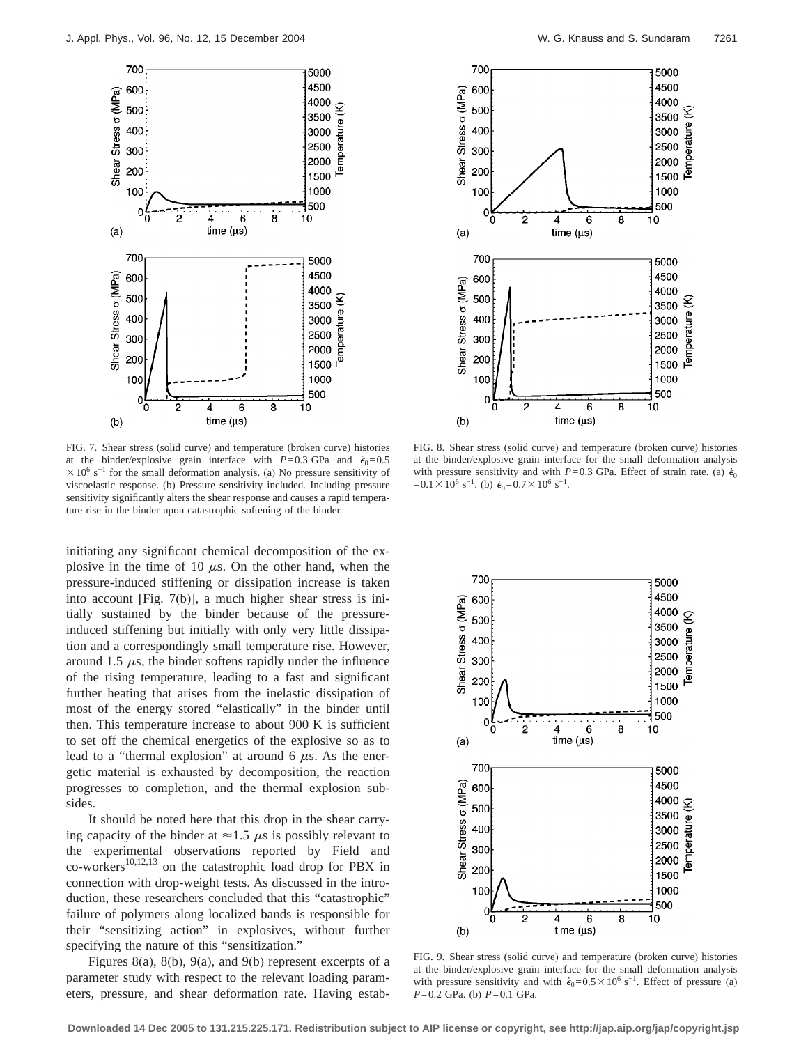

FIG. 7. Shear stress (solid curve) and temperature (broken curve) histories at the binder/explosive grain interface with  $P=0.3$  GPa and  $\dot{\epsilon}_0=0.5$  $\times$ 10<sup>6</sup> s<sup>−1</sup> for the small deformation analysis. (a) No pressure sensitivity of viscoelastic response. (b) Pressure sensitivity included. Including pressure sensitivity significantly alters the shear response and causes a rapid temperature rise in the binder upon catastrophic softening of the binder.

initiating any significant chemical decomposition of the explosive in the time of 10  $\mu$ s. On the other hand, when the pressure-induced stiffening or dissipation increase is taken into account [Fig. 7(b)], a much higher shear stress is initially sustained by the binder because of the pressureinduced stiffening but initially with only very little dissipation and a correspondingly small temperature rise. However, around 1.5  $\mu$ s, the binder softens rapidly under the influence of the rising temperature, leading to a fast and significant further heating that arises from the inelastic dissipation of most of the energy stored "elastically" in the binder until then. This temperature increase to about 900 K is sufficient to set off the chemical energetics of the explosive so as to lead to a "thermal explosion" at around 6  $\mu$ s. As the energetic material is exhausted by decomposition, the reaction progresses to completion, and the thermal explosion subsides.

It should be noted here that this drop in the shear carrying capacity of the binder at  $\approx$  1.5  $\mu$ s is possibly relevant to the experimental observations reported by Field and co-workers<sup>10,12,13</sup> on the catastrophic load drop for PBX in connection with drop-weight tests. As discussed in the introduction, these researchers concluded that this "catastrophic" failure of polymers along localized bands is responsible for their "sensitizing action" in explosives, without further specifying the nature of this "sensitization."

Figures 8(a), 8(b), 9(a), and 9(b) represent excerpts of a parameter study with respect to the relevant loading parameters, pressure, and shear deformation rate. Having estab-



FIG. 8. Shear stress (solid curve) and temperature (broken curve) histories at the binder/explosive grain interface for the small deformation analysis with pressure sensitivity and with *P*=0.3 GPa. Effect of strain rate. (a)  $\dot{\epsilon}_0$ =0.1×10<sup>6</sup> s<sup>-1</sup>. (b)  $\dot{\epsilon}_0$ =0.7×10<sup>6</sup> s<sup>-1</sup>.



FIG. 9. Shear stress (solid curve) and temperature (broken curve) histories at the binder/explosive grain interface for the small deformation analysis with pressure sensitivity and with  $\dot{\epsilon}_0$ =0.5×10<sup>6</sup> s<sup>-1</sup>. Effect of pressure (a) *P*=0.2 GPa. (b) *P*=0.1 GPa.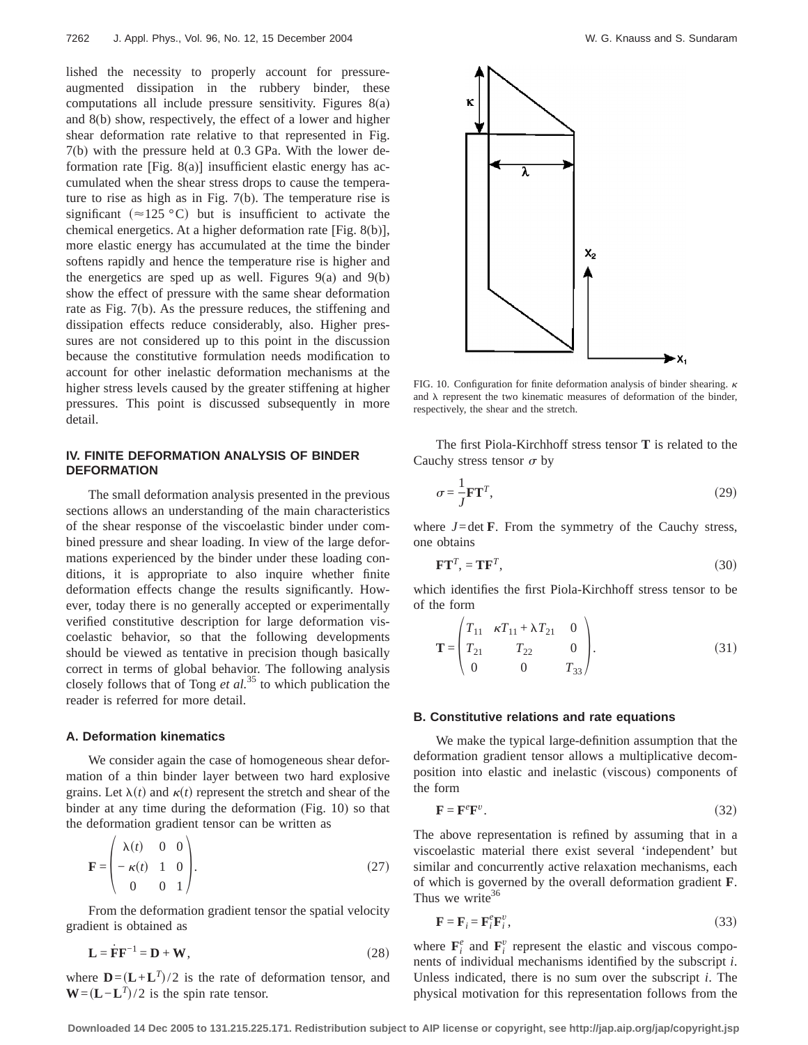lished the necessity to properly account for pressureaugmented dissipation in the rubbery binder, these computations all include pressure sensitivity. Figures 8(a) and 8(b) show, respectively, the effect of a lower and higher shear deformation rate relative to that represented in Fig. 7(b) with the pressure held at 0.3 GPa. With the lower deformation rate [Fig. 8(a)] insufficient elastic energy has accumulated when the shear stress drops to cause the temperature to rise as high as in Fig. 7(b). The temperature rise is significant ( $\approx$ 125 °C) but is insufficient to activate the chemical energetics. At a higher deformation rate [Fig. 8(b)], more elastic energy has accumulated at the time the binder softens rapidly and hence the temperature rise is higher and the energetics are sped up as well. Figures  $9(a)$  and  $9(b)$ show the effect of pressure with the same shear deformation rate as Fig. 7(b). As the pressure reduces, the stiffening and dissipation effects reduce considerably, also. Higher pressures are not considered up to this point in the discussion because the constitutive formulation needs modification to account for other inelastic deformation mechanisms at the higher stress levels caused by the greater stiffening at higher pressures. This point is discussed subsequently in more detail.

# **IV. FINITE DEFORMATION ANALYSIS OF BINDER DEFORMATION**

The small deformation analysis presented in the previous sections allows an understanding of the main characteristics of the shear response of the viscoelastic binder under combined pressure and shear loading. In view of the large deformations experienced by the binder under these loading conditions, it is appropriate to also inquire whether finite deformation effects change the results significantly. However, today there is no generally accepted or experimentally verified constitutive description for large deformation viscoelastic behavior, so that the following developments should be viewed as tentative in precision though basically correct in terms of global behavior. The following analysis closely follows that of Tong *et al.*<sup>35</sup> to which publication the reader is referred for more detail.

#### **A. Deformation kinematics**

We consider again the case of homogeneous shear deformation of a thin binder layer between two hard explosive grains. Let  $\lambda(t)$  and  $\kappa(t)$  represent the stretch and shear of the binder at any time during the deformation (Fig. 10) so that the deformation gradient tensor can be written as

$$
\mathbf{F} = \begin{pmatrix} \lambda(t) & 0 & 0 \\ -\kappa(t) & 1 & 0 \\ 0 & 0 & 1 \end{pmatrix} . \tag{27}
$$

From the deformation gradient tensor the spatial velocity gradient is obtained as

$$
\mathbf{L} = \dot{\mathbf{F}} \mathbf{F}^{-1} = \mathbf{D} + \mathbf{W},\tag{28}
$$

where  $\mathbf{D} = (\mathbf{L} + \mathbf{L}^T)/2$  is the rate of deformation tensor, and  $W = (L - L<sup>T</sup>)/2$  is the spin rate tensor.



FIG. 10. Configuration for finite deformation analysis of binder shearing.  $\kappa$ and  $\lambda$  represent the two kinematic measures of deformation of the binder, respectively, the shear and the stretch.

The first Piola-Kirchhoff stress tensor **T** is related to the Cauchy stress tensor  $\sigma$  by

$$
\sigma = \frac{1}{J} \mathbf{F} \mathbf{T}^T,\tag{29}
$$

where  $J = det \mathbf{F}$ . From the symmetry of the Cauchy stress, one obtains

$$
\mathbf{FT}^T = \mathbf{TF}^T,\tag{30}
$$

which identifies the first Piola-Kirchhoff stress tensor to be of the form

$$
\mathbf{T} = \begin{pmatrix} T_{11} & \kappa T_{11} + \lambda T_{21} & 0 \\ T_{21} & T_{22} & 0 \\ 0 & 0 & T_{33} \end{pmatrix} .
$$
 (31)

## **B. Constitutive relations and rate equations**

We make the typical large-definition assumption that the deformation gradient tensor allows a multiplicative decomposition into elastic and inelastic (viscous) components of the form

$$
\mathbf{F} = \mathbf{F}^e \mathbf{F}^v. \tag{32}
$$

The above representation is refined by assuming that in a viscoelastic material there exist several 'independent' but similar and concurrently active relaxation mechanisms, each of which is governed by the overall deformation gradient **F**. Thus we write  $36$ 

$$
\mathbf{F} = \mathbf{F}_i = \mathbf{F}_i^e \mathbf{F}_i^v,\tag{33}
$$

where  $\mathbf{F}_i^e$  and  $\mathbf{F}_i^v$  represent the elastic and viscous components of individual mechanisms identified by the subscript *i*. Unless indicated, there is no sum over the subscript *i*. The physical motivation for this representation follows from the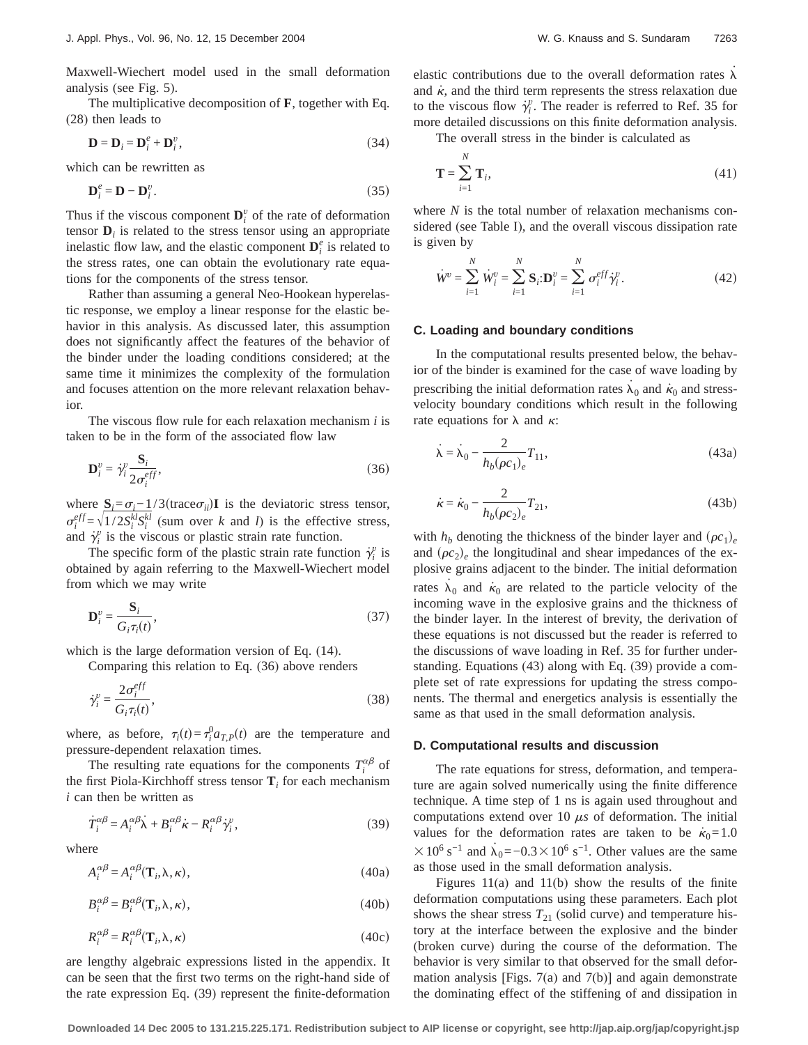Maxwell-Wiechert model used in the small deformation analysis (see Fig. 5).

The multiplicative decomposition of **F**, together with Eq. (28) then leads to

$$
\mathbf{D} = \mathbf{D}_i = \mathbf{D}_i^e + \mathbf{D}_i^v,\tag{34}
$$

which can be rewritten as

$$
\mathbf{D}_i^e = \mathbf{D} - \mathbf{D}_i^v. \tag{35}
$$

Thus if the viscous component  $\mathbf{D}_i^v$  of the rate of deformation tensor  $\mathbf{D}_i$  is related to the stress tensor using an appropriate inelastic flow law, and the elastic component  $\mathbf{D}_i^e$  is related to the stress rates, one can obtain the evolutionary rate equations for the components of the stress tensor.

Rather than assuming a general Neo-Hookean hyperelastic response, we employ a linear response for the elastic behavior in this analysis. As discussed later, this assumption does not significantly affect the features of the behavior of the binder under the loading conditions considered; at the same time it minimizes the complexity of the formulation and focuses attention on the more relevant relaxation behavior.

The viscous flow rule for each relaxation mechanism *i* is taken to be in the form of the associated flow law

$$
\mathbf{D}_i^v = \dot{\gamma}_i^v \frac{\mathbf{S}_i}{2\sigma_i^{eff}},\tag{36}
$$

where  $S_i = \sigma_i - 1/3$  (trace  $\sigma_i$ )**I** is the deviatoric stress tensor,  $\sigma_i^{eff} = \sqrt{1/2S_i^{kl}S_i^{kl}}$  (sum over *k* and *l*) is the effective stress, and  $\gamma_i^v$  is the viscous or plastic strain rate function.

The specific form of the plastic strain rate function  $\dot{\gamma}_i^v$  is obtained by again referring to the Maxwell-Wiechert model from which we may write

$$
\mathbf{D}_i^v = \frac{\mathbf{S}_i}{G_i \tau_i(t)},\tag{37}
$$

which is the large deformation version of Eq. (14).

Comparing this relation to Eq. (36) above renders

$$
\dot{\gamma}_i^p = \frac{2\sigma_i^{eff}}{G_i \tau_i(t)},\tag{38}
$$

where, as before,  $\tau_i(t) = \tau_i^0 a_{T,P}(t)$  are the temperature and pressure-dependent relaxation times.

The resulting rate equations for the components  $T_i^{\alpha\beta}$  of the first Piola-Kirchhoff stress tensor  $\mathbf{T}_i$  for each mechanism *i* can then be written as

$$
\dot{T}_i^{\alpha\beta} = A_i^{\alpha\beta}\dot{\lambda} + B_i^{\alpha\beta}\dot{\kappa} - R_i^{\alpha\beta}\dot{\gamma}_i^{\nu},\tag{39}
$$

where

$$
A_i^{\alpha\beta} = A_i^{\alpha\beta}(\mathbf{T}_i, \lambda, \kappa),\tag{40a}
$$

$$
B_i^{\alpha\beta} = B_i^{\alpha\beta}(\mathbf{T}_i, \lambda, \kappa),\tag{40b}
$$

$$
R_i^{\alpha\beta} = R_i^{\alpha\beta}(\mathbf{T}_i, \lambda, \kappa) \tag{40c}
$$

are lengthy algebraic expressions listed in the appendix. It can be seen that the first two terms on the right-hand side of the rate expression Eq. (39) represent the finite-deformation

elastic contributions due to the overall deformation rates  $\lambda$ and  $\dot{\kappa}$ , and the third term represents the stress relaxation due to the viscous flow  $\dot{\gamma}_i^v$ . The reader is referred to Ref. 35 for more detailed discussions on this finite deformation analysis.

The overall stress in the binder is calculated as

$$
\mathbf{T} = \sum_{i=1}^{N} \mathbf{T}_i,\tag{41}
$$

where *N* is the total number of relaxation mechanisms considered (see Table I), and the overall viscous dissipation rate is given by

$$
\dot{W}^{v} = \sum_{i=1}^{N} \dot{W}_{i}^{v} = \sum_{i=1}^{N} \mathbf{S}_{i} : \mathbf{D}_{i}^{v} = \sum_{i=1}^{N} \sigma_{i}^{eff} \dot{\gamma}_{i}^{v}.
$$
 (42)

#### **C. Loading and boundary conditions**

In the computational results presented below, the behavior of the binder is examined for the case of wave loading by prescribing the initial deformation rates  $\lambda_0$  and  $\kappa_0$  and stressvelocity boundary conditions which result in the following rate equations for  $\lambda$  and  $\kappa$ :

$$
\dot{\lambda} = \dot{\lambda}_0 - \frac{2}{h_b(\rho c_1)_e} T_{11},
$$
\n(43a)

$$
\dot{\kappa} = \dot{\kappa}_0 - \frac{2}{h_b(\rho c_2)} T_{21},\tag{43b}
$$

with  $h_b$  denoting the thickness of the binder layer and  $(\rho c_1)_e$ and  $(\rho c_2)_e$ , the longitudinal and shear impedances of the explosive grains adjacent to the binder. The initial deformation rates  $\dot{\lambda}_0$  and  $\dot{\kappa}_0$  are related to the particle velocity of the incoming wave in the explosive grains and the thickness of the binder layer. In the interest of brevity, the derivation of these equations is not discussed but the reader is referred to the discussions of wave loading in Ref. 35 for further understanding. Equations (43) along with Eq. (39) provide a complete set of rate expressions for updating the stress components. The thermal and energetics analysis is essentially the same as that used in the small deformation analysis.

## **D. Computational results and discussion**

The rate equations for stress, deformation, and temperature are again solved numerically using the finite difference technique. A time step of 1 ns is again used throughout and computations extend over 10  $\mu$ s of deformation. The initial values for the deformation rates are taken to be  $\dot{\kappa}_0 = 1.0$  $\times$  10<sup>6</sup> s<sup>-1</sup> and  $\dot{\lambda}_0$  = −0.3  $\times$  10<sup>6</sup> s<sup>-1</sup>. Other values are the same as those used in the small deformation analysis.

Figures 11(a) and 11(b) show the results of the finite deformation computations using these parameters. Each plot shows the shear stress  $T_{21}$  (solid curve) and temperature history at the interface between the explosive and the binder (broken curve) during the course of the deformation. The behavior is very similar to that observed for the small deformation analysis [Figs.  $7(a)$  and  $7(b)$ ] and again demonstrate the dominating effect of the stiffening of and dissipation in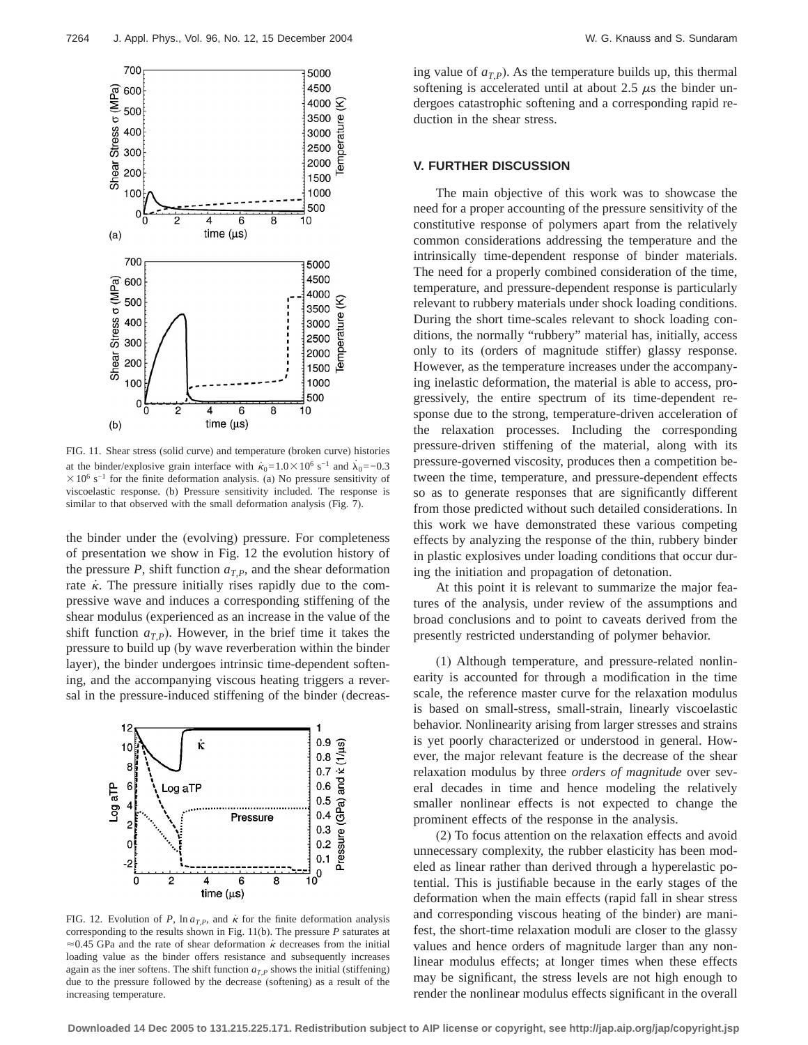

FIG. 11. Shear stress (solid curve) and temperature (broken curve) histories at the binder/explosive grain interface with  $\kappa_0 = 1.0 \times 10^6 \text{ s}^{-1}$  and  $\lambda_0 = -0.3$  $\times$ 10<sup>6</sup> s<sup>-1</sup> for the finite deformation analysis. (a) No pressure sensitivity of viscoelastic response. (b) Pressure sensitivity included. The response is similar to that observed with the small deformation analysis (Fig. 7).

the binder under the (evolving) pressure. For completeness of presentation we show in Fig. 12 the evolution history of the pressure *P*, shift function  $a_{TP}$ , and the shear deformation rate  $\kappa$ . The pressure initially rises rapidly due to the compressive wave and induces a corresponding stiffening of the shear modulus (experienced as an increase in the value of the shift function  $a_{TP}$ ). However, in the brief time it takes the pressure to build up (by wave reverberation within the binder layer), the binder undergoes intrinsic time-dependent softening, and the accompanying viscous heating triggers a reversal in the pressure-induced stiffening of the binder (decreas-



FIG. 12. Evolution of *P*,  $\ln a_{T,P}$ , and  $\kappa$  for the finite deformation analysis corresponding to the results shown in Fig. 11(b). The pressure *P* saturates at  $\approx$  0.45 GPa and the rate of shear deformation  $\kappa$  decreases from the initial loading value as the binder offers resistance and subsequently increases again as the iner softens. The shift function  $a_{T,P}$  shows the initial (stiffening) due to the pressure followed by the decrease (softening) as a result of the increasing temperature.

ing value of  $a_{TP}$ ). As the temperature builds up, this thermal softening is accelerated until at about 2.5  $\mu$ s the binder undergoes catastrophic softening and a corresponding rapid reduction in the shear stress.

## **V. FURTHER DISCUSSION**

The main objective of this work was to showcase the need for a proper accounting of the pressure sensitivity of the constitutive response of polymers apart from the relatively common considerations addressing the temperature and the intrinsically time-dependent response of binder materials. The need for a properly combined consideration of the time, temperature, and pressure-dependent response is particularly relevant to rubbery materials under shock loading conditions. During the short time-scales relevant to shock loading conditions, the normally "rubbery" material has, initially, access only to its (orders of magnitude stiffer) glassy response. However, as the temperature increases under the accompanying inelastic deformation, the material is able to access, progressively, the entire spectrum of its time-dependent response due to the strong, temperature-driven acceleration of the relaxation processes. Including the corresponding pressure-driven stiffening of the material, along with its pressure-governed viscosity, produces then a competition between the time, temperature, and pressure-dependent effects so as to generate responses that are significantly different from those predicted without such detailed considerations. In this work we have demonstrated these various competing effects by analyzing the response of the thin, rubbery binder in plastic explosives under loading conditions that occur during the initiation and propagation of detonation.

At this point it is relevant to summarize the major features of the analysis, under review of the assumptions and broad conclusions and to point to caveats derived from the presently restricted understanding of polymer behavior.

(1) Although temperature, and pressure-related nonlinearity is accounted for through a modification in the time scale, the reference master curve for the relaxation modulus is based on small-stress, small-strain, linearly viscoelastic behavior. Nonlinearity arising from larger stresses and strains is yet poorly characterized or understood in general. However, the major relevant feature is the decrease of the shear relaxation modulus by three *orders of magnitude* over several decades in time and hence modeling the relatively smaller nonlinear effects is not expected to change the prominent effects of the response in the analysis.

(2) To focus attention on the relaxation effects and avoid unnecessary complexity, the rubber elasticity has been modeled as linear rather than derived through a hyperelastic potential. This is justifiable because in the early stages of the deformation when the main effects (rapid fall in shear stress and corresponding viscous heating of the binder) are manifest, the short-time relaxation moduli are closer to the glassy values and hence orders of magnitude larger than any nonlinear modulus effects; at longer times when these effects may be significant, the stress levels are not high enough to render the nonlinear modulus effects significant in the overall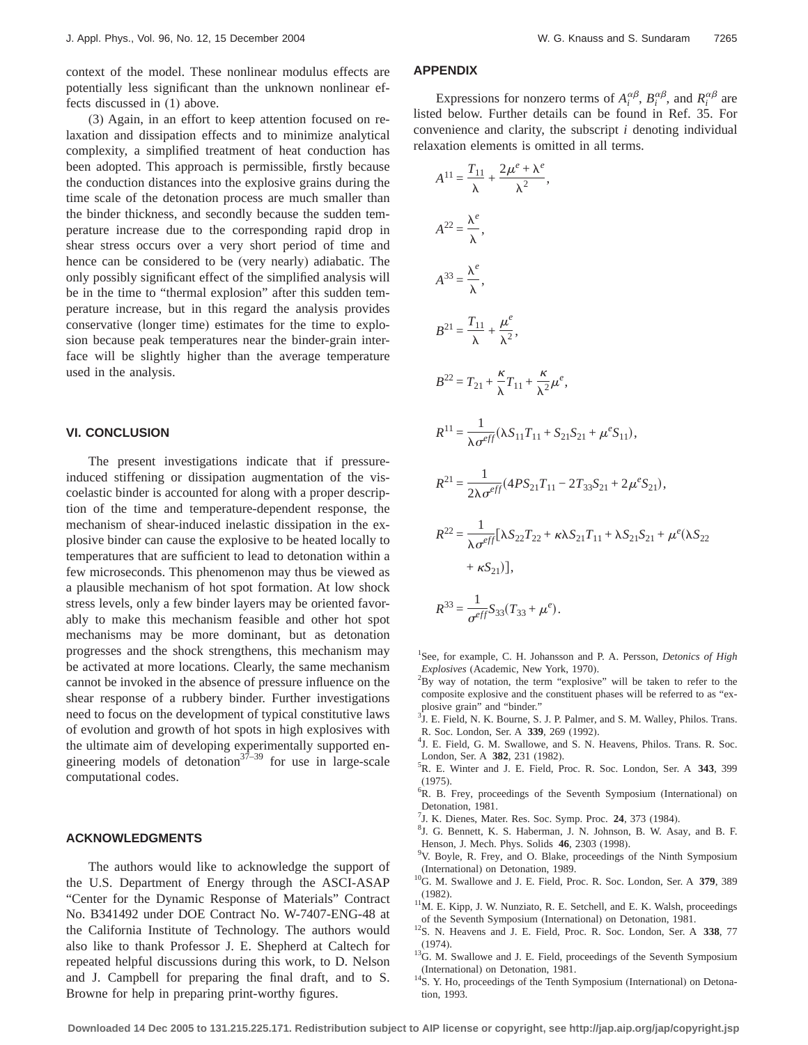context of the model. These nonlinear modulus effects are potentially less significant than the unknown nonlinear effects discussed in (1) above.

(3) Again, in an effort to keep attention focused on relaxation and dissipation effects and to minimize analytical complexity, a simplified treatment of heat conduction has been adopted. This approach is permissible, firstly because the conduction distances into the explosive grains during the time scale of the detonation process are much smaller than the binder thickness, and secondly because the sudden temperature increase due to the corresponding rapid drop in shear stress occurs over a very short period of time and hence can be considered to be (very nearly) adiabatic. The only possibly significant effect of the simplified analysis will be in the time to "thermal explosion" after this sudden temperature increase, but in this regard the analysis provides conservative (longer time) estimates for the time to explosion because peak temperatures near the binder-grain interface will be slightly higher than the average temperature used in the analysis.

# **VI. CONCLUSION**

The present investigations indicate that if pressureinduced stiffening or dissipation augmentation of the viscoelastic binder is accounted for along with a proper description of the time and temperature-dependent response, the mechanism of shear-induced inelastic dissipation in the explosive binder can cause the explosive to be heated locally to temperatures that are sufficient to lead to detonation within a few microseconds. This phenomenon may thus be viewed as a plausible mechanism of hot spot formation. At low shock stress levels, only a few binder layers may be oriented favorably to make this mechanism feasible and other hot spot mechanisms may be more dominant, but as detonation progresses and the shock strengthens, this mechanism may be activated at more locations. Clearly, the same mechanism cannot be invoked in the absence of pressure influence on the shear response of a rubbery binder. Further investigations need to focus on the development of typical constitutive laws of evolution and growth of hot spots in high explosives with the ultimate aim of developing experimentally supported engineering models of detonation<sup>37–39</sup> for use in large-scale computational codes.

## **ACKNOWLEDGMENTS**

The authors would like to acknowledge the support of the U.S. Department of Energy through the ASCI-ASAP "Center for the Dynamic Response of Materials" Contract No. B341492 under DOE Contract No. W-7407-ENG-48 at the California Institute of Technology. The authors would also like to thank Professor J. E. Shepherd at Caltech for repeated helpful discussions during this work, to D. Nelson and J. Campbell for preparing the final draft, and to S. Browne for help in preparing print-worthy figures.

#### **APPENDIX**

Expressions for nonzero terms of  $A_i^{\alpha\beta}$ ,  $B_i^{\alpha\beta}$ , and  $R_i^{\alpha\beta}$  are listed below. Further details can be found in Ref. 35. For convenience and clarity, the subscript *i* denoting individual relaxation elements is omitted in all terms.

$$
A^{11} = \frac{T_{11}}{\lambda} + \frac{2\mu^e + \lambda^e}{\lambda^2},
$$
  
\n
$$
A^{22} = \frac{\lambda^e}{\lambda},
$$
  
\n
$$
A^{33} = \frac{\lambda^e}{\lambda},
$$
  
\n
$$
B^{21} = \frac{T_{11}}{\lambda} + \frac{\mu^e}{\lambda^2},
$$
  
\n
$$
B^{22} = T_{21} + \frac{\kappa}{\lambda} T_{11} + \frac{\kappa}{\lambda^2} \mu^e,
$$
  
\n
$$
R^{11} = \frac{1}{\lambda \sigma^{eff}} (\lambda S_{11} T_{11} + S_{21} S_{21} + \mu^e S_{11}),
$$
  
\n
$$
R^{21} = \frac{1}{2\lambda \sigma^{eff}} (4PS_{21} T_{11} - 2T_{33} S_{21} + 2\mu^e S_{21}),
$$
  
\n
$$
R^{22} = \frac{1}{\lambda \sigma^{eff}} [\lambda S_{22} T_{22} + \kappa \lambda S_{21} T_{11} + \lambda S_{21} S_{21} + \mu^e (\lambda S_{22} + \kappa S_{21})],
$$
  
\n
$$
R^{33} = \frac{1}{\sigma^{eff}} S_{33} (T_{33} + \mu^e).
$$

- <sup>1</sup>See, for example, C. H. Johansson and P. A. Persson, *Detonics of High Explosives* (Academic, New York, 1970).
- ${}^{2}$ By way of notation, the term "explosive" will be taken to refer to the composite explosive and the constituent phases will be referred to as "explosive grain" and "binder."
- <sup>3</sup>J. E. Field, N. K. Bourne, S. J. P. Palmer, and S. M. Walley, Philos. Trans. R. Soc. London, Ser. A **<sup>339</sup>**, 269 (1992). <sup>4</sup>
- <sup>4</sup>J. E. Field, G. M. Swallowe, and S. N. Heavens, Philos. Trans. R. Soc. London, Ser. A 382, 231 (1982).
- R. E. Winter and J. E. Field, Proc. R. Soc. London, Ser. A **343**, 399  $(1975)$ .
- <sup>6</sup>R. B. Frey, proceedings of the Seventh Symposium (International) on Detonation, 1981.
- <sup>7</sup>J. K. Dienes, Mater. Res. Soc. Symp. Proc. **24**, 373 (1984).
- <sup>8</sup>J. G. Bennett, K. S. Haberman, J. N. Johnson, B. W. Asay, and B. F. Henson, J. Mech. Phys. Solids **46**, 2303 (1998).
- <sup>9</sup>V. Boyle, R. Frey, and O. Blake, proceedings of the Ninth Symposium
- (International) on Detonation, 1989. 10G. M. Swallowe and J. E. Field, Proc. R. Soc. London, Ser. A **<sup>379</sup>**, 389
- (1982).  $11M$ . E. Kipp, J. W. Nunziato, R. E. Setchell, and E. K. Walsh, proceedings
- of the Seventh Symposium (International) on Detonation, 1981. 12S. N. Heavens and J. E. Field, Proc. R. Soc. London, Ser. A **<sup>338</sup>**, 77
- (1974).<br> $13G$ . M. Swallowe and J. E. Field, proceedings of the Seventh Symposium
- (International) on Detonation, 1981.<br><sup>14</sup>S. Y. Ho, proceedings of the Tenth Symposium (International) on Detonation, 1993.